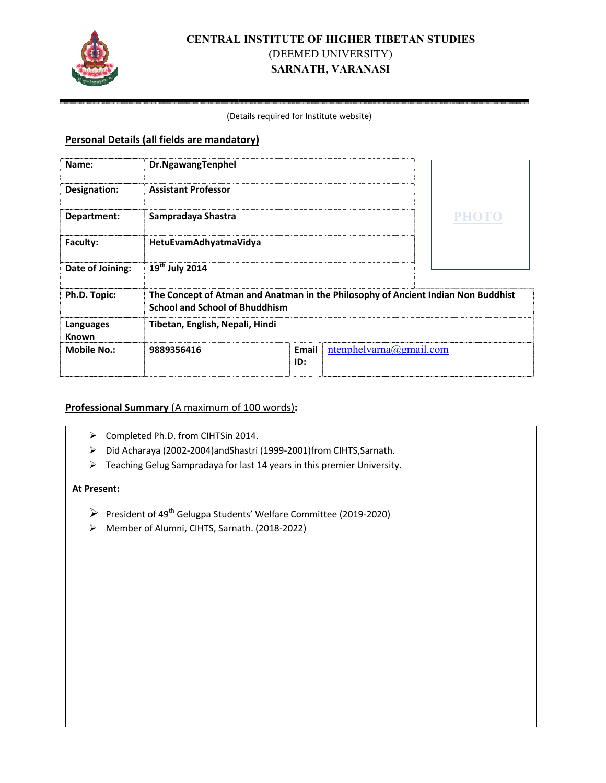

## **CENTRAL RAL INSTITUTE OF HIGHER TIBETAN STUDI TUDIES**  (DEEMED UNIVERSITY) **SARNATH, VARANASI**

#### (Det Details required for Institute website)

#### **Personal Details (all fields are mandatory)**

| Name:              | Dr.NgawangTenphel                                                                                                          |              |                             |       |
|--------------------|----------------------------------------------------------------------------------------------------------------------------|--------------|-----------------------------|-------|
| Designation:       | <b>Assistant Professor</b>                                                                                                 |              |                             |       |
| Department:        | Sampradaya Shastra                                                                                                         |              |                             | PHOTO |
| <b>Faculty:</b>    | HetuEvamAdhyatmaVidya                                                                                                      |              |                             |       |
| Date of Joining:   | $19th$ July 2014                                                                                                           |              |                             |       |
| Ph.D. Topic:       | The Concept of Atman and Anatman in the Philosophy of Ancient Indian Non Buddhist<br><b>School and School of Bhuddhism</b> |              |                             |       |
| Languages<br>Known | Tibetan, English, Nepali, Hindi                                                                                            |              |                             |       |
| <b>Mobile No.:</b> | 9889356416                                                                                                                 | Email<br>ID: | $ntenphelvarna(a)gmail.com$ |       |

#### **Professional Summary** (A maximum of 100 words):

- > Completed Ph.D. from CIHTSin 2014.
- > Did Acharaya (2002-2004)andShastri (1999-2001)from CIHTS, Sarnath.
- $\triangleright$  Teaching Gelug Sampradaya for last 14 years in this premier University.

#### **At Present:**

- President of 49<sup>th</sup> Gelugpa Students' Welfare Committee (2019-2020)
- > Member of Alumni, CIHTS, Sarnath. (2018-2022)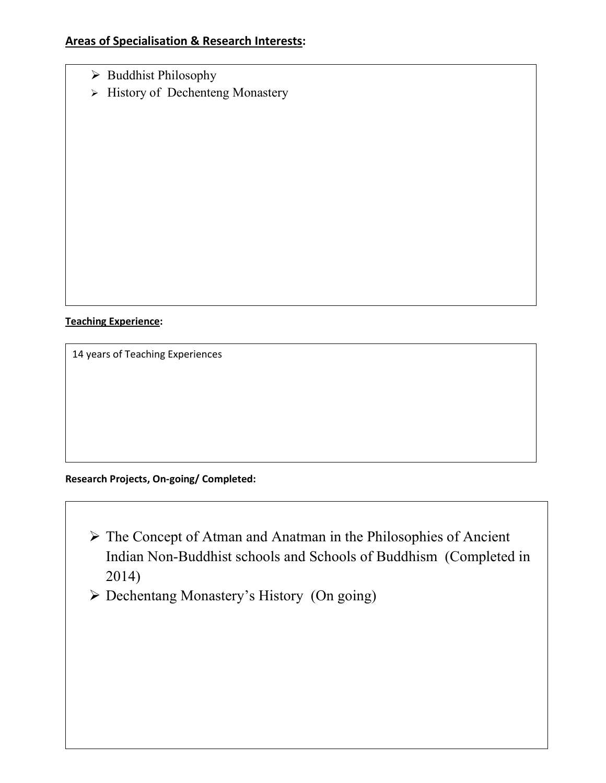- > Buddhist Philosophy
- $\triangleright$  History of Dechenteng Monastery

**Teaching Experience:** 

14 years of Teaching Experiences

## **Research Projects, On-going/ Completed:**

- The Concept of Atman and Anatman in the Philosophies of Ancient Indian Non-Buddhist schools and Schools of Buddhism (Completed in 2014)
- Dechentang Monastery's History (On going)